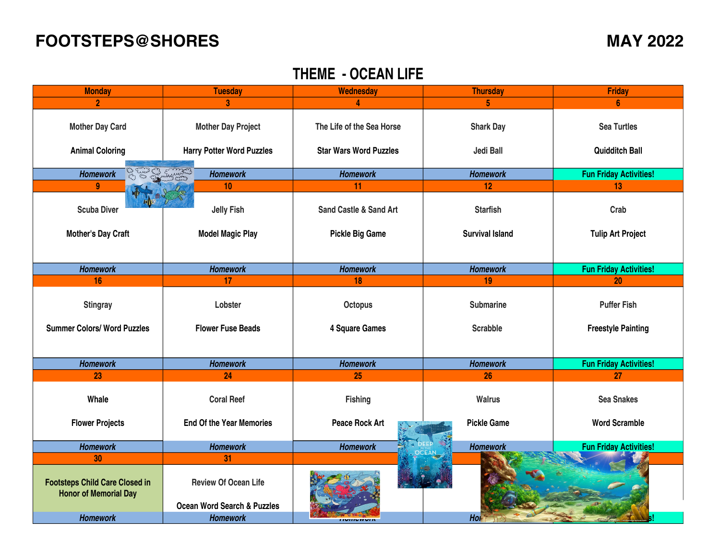## **FOOTSTEPS@SHORES MAY 2022**

## **THEME - OCEAN LIFE**

| <b>Monday</b>                                                         | <b>Tuesday</b>                                                        | <b>Wednesday</b>                  | <b>Thursday</b>        | <b>Friday</b>                 |
|-----------------------------------------------------------------------|-----------------------------------------------------------------------|-----------------------------------|------------------------|-------------------------------|
|                                                                       | 3                                                                     |                                   | 5                      |                               |
| <b>Mother Day Card</b>                                                | <b>Mother Day Project</b>                                             | The Life of the Sea Horse         | <b>Shark Day</b>       | <b>Sea Turtles</b>            |
| <b>Animal Coloring</b>                                                | <b>Harry Potter Word Puzzles</b>                                      | <b>Star Wars Word Puzzles</b>     | <b>Jedi Ball</b>       | <b>Quidditch Ball</b>         |
| <b>Homework</b>                                                       | Euros E. B. E. Morris<br><b>Homework</b>                              | <b>Homework</b>                   | <b>Homework</b>        | <b>Fun Friday Activities!</b> |
| 9                                                                     | 10                                                                    | 11                                | 12                     | 13                            |
| <b>Scuba Diver</b>                                                    | <b>Jelly Fish</b>                                                     | <b>Sand Castle &amp; Sand Art</b> | <b>Starfish</b>        | Crab                          |
| <b>Mother's Day Craft</b>                                             | <b>Model Magic Play</b>                                               | <b>Pickle Big Game</b>            | <b>Survival Island</b> | <b>Tulip Art Project</b>      |
|                                                                       |                                                                       |                                   |                        |                               |
| <b>Homework</b>                                                       | <b>Homework</b>                                                       | <b>Homework</b>                   | <b>Homework</b>        | <b>Fun Friday Activities!</b> |
| 16                                                                    | 17                                                                    | 18                                | 19                     | 20                            |
| <b>Stingray</b>                                                       | Lobster                                                               | <b>Octopus</b>                    | <b>Submarine</b>       | <b>Puffer Fish</b>            |
| <b>Summer Colors/ Word Puzzles</b>                                    | <b>Flower Fuse Beads</b>                                              | 4 Square Games                    | <b>Scrabble</b>        | <b>Freestyle Painting</b>     |
|                                                                       |                                                                       |                                   |                        |                               |
| <b>Homework</b>                                                       | <b>Homework</b>                                                       | <b>Homework</b>                   | <b>Homework</b>        | <b>Fun Friday Activities!</b> |
| 23                                                                    | 24                                                                    | 25                                | 26                     | 27                            |
| Whale                                                                 | <b>Coral Reef</b>                                                     | <b>Fishing</b>                    | <b>Walrus</b>          | <b>Sea Snakes</b>             |
| <b>Flower Projects</b>                                                | <b>End Of the Year Memories</b>                                       | <b>Peace Rock Art</b>             | <b>Pickle Game</b>     | <b>Word Scramble</b>          |
| <b>Homework</b>                                                       | <b>Homework</b>                                                       | <b>Homework</b>                   | <b>Homework</b>        | <b>Fun Friday Activities!</b> |
| 30                                                                    | 31                                                                    |                                   |                        |                               |
| <b>Footsteps Child Care Closed in</b><br><b>Honor of Memorial Day</b> | <b>Review Of Ocean Life</b><br><b>Ocean Word Search &amp; Puzzles</b> |                                   |                        |                               |
| <b>Homework</b>                                                       | <b>Homework</b>                                                       | <b>INDIAN WAR</b>                 | Hol                    |                               |